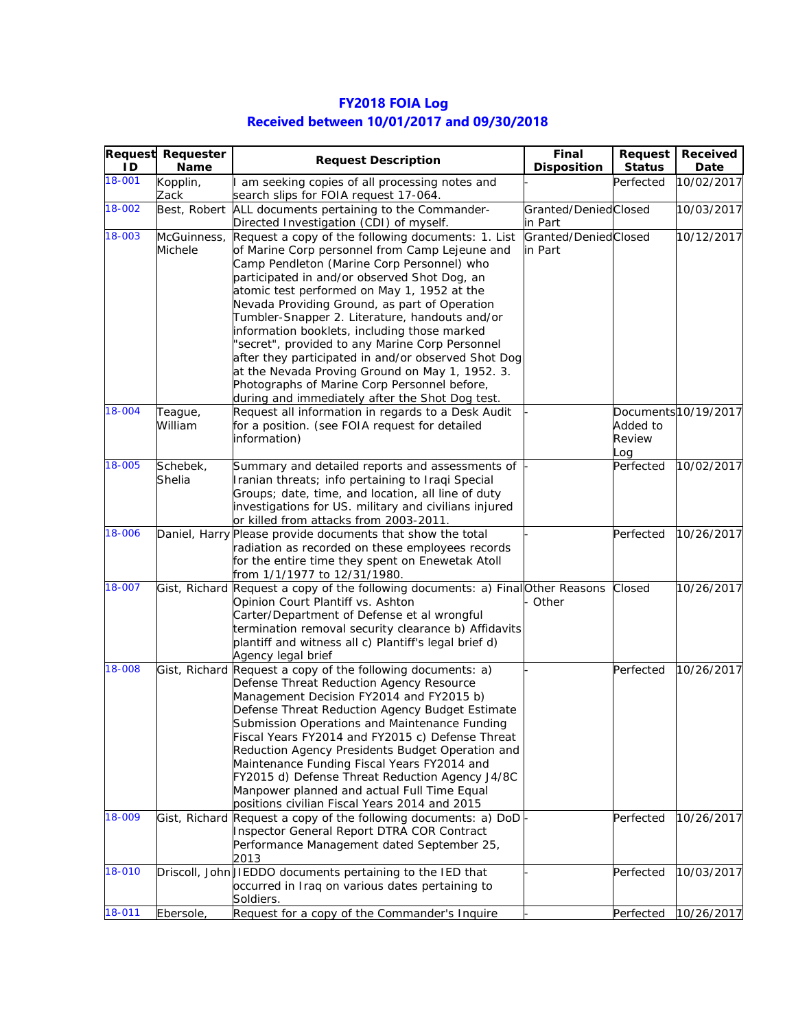| 1D     | <b>Request Requester</b><br><b>Name</b> | <b>Request Description</b>                                                                                                                                                                                                                                                                                                                                                                                                                                                                                                                                                                                                                                           | Final<br><b>Disposition</b>     | Request<br><b>Status</b>  | Received<br>Date     |
|--------|-----------------------------------------|----------------------------------------------------------------------------------------------------------------------------------------------------------------------------------------------------------------------------------------------------------------------------------------------------------------------------------------------------------------------------------------------------------------------------------------------------------------------------------------------------------------------------------------------------------------------------------------------------------------------------------------------------------------------|---------------------------------|---------------------------|----------------------|
| 18-001 | Kopplin,<br>Zack                        | am seeking copies of all processing notes and<br>search slips for FOIA request 17-064.                                                                                                                                                                                                                                                                                                                                                                                                                                                                                                                                                                               |                                 | Perfected                 | 10/02/2017           |
| 18-002 | Best, Robert                            | ALL documents pertaining to the Commander-<br>Directed Investigation (CDI) of myself.                                                                                                                                                                                                                                                                                                                                                                                                                                                                                                                                                                                | Granted/DeniedClosed<br>in Part |                           | 10/03/2017           |
| 18-003 | McGuinness,<br>Michele                  | Request a copy of the following documents: 1. List<br>of Marine Corp personnel from Camp Lejeune and<br>Camp Pendleton (Marine Corp Personnel) who<br>participated in and/or observed Shot Dog, an<br>atomic test performed on May 1, 1952 at the<br>Nevada Providing Ground, as part of Operation<br>Tumbler-Snapper 2. Literature, handouts and/or<br>information booklets, including those marked<br>'secret", provided to any Marine Corp Personnel<br>after they participated in and/or observed Shot Dog<br>at the Nevada Proving Ground on May 1, 1952. 3.<br>Photographs of Marine Corp Personnel before,<br>during and immediately after the Shot Dog test. | Granted/DeniedClosed<br>in Part |                           | 10/12/2017           |
| 18-004 | Teague,<br>William                      | Request all information in regards to a Desk Audit<br>for a position. (see FOIA request for detailed<br>information)                                                                                                                                                                                                                                                                                                                                                                                                                                                                                                                                                 |                                 | Added to<br>Review<br>Log | Documents 10/19/2017 |
| 18-005 | Schebek,<br>Shelia                      | Summary and detailed reports and assessments of<br>Iranian threats; info pertaining to Iraqi Special<br>Groups; date, time, and location, all line of duty<br>investigations for US. military and civilians injured<br>or killed from attacks from 2003-2011.                                                                                                                                                                                                                                                                                                                                                                                                        |                                 | Perfected                 | 10/02/2017           |
| 18-006 |                                         | Daniel, Harry Please provide documents that show the total<br>radiation as recorded on these employees records<br>for the entire time they spent on Enewetak Atoll<br>from 1/1/1977 to 12/31/1980.                                                                                                                                                                                                                                                                                                                                                                                                                                                                   |                                 | Perfected                 | 10/26/2017           |
| 18-007 |                                         | Gist, Richard Request a copy of the following documents: a) Final Other Reasons<br>Opinion Court Plantiff vs. Ashton<br>Carter/Department of Defense et al wrongful<br>termination removal security clearance b) Affidavits<br>plantiff and witness all c) Plantiff's legal brief d)<br>Agency legal brief                                                                                                                                                                                                                                                                                                                                                           | Other                           | Closed                    | 10/26/2017           |
| 18-008 |                                         | Gist, Richard Request a copy of the following documents: a)<br>Defense Threat Reduction Agency Resource<br>Management Decision FY2014 and FY2015 b)<br>Defense Threat Reduction Agency Budget Estimate<br>Submission Operations and Maintenance Funding<br>Fiscal Years FY2014 and FY2015 c) Defense Threat<br>Reduction Agency Presidents Budget Operation and<br>Maintenance Funding Fiscal Years FY2014 and<br>FY2015 d) Defense Threat Reduction Agency J4/8C<br>Manpower planned and actual Full Time Equal<br>positions civilian Fiscal Years 2014 and 2015                                                                                                    |                                 | Perfected                 | 10/26/2017           |
| 18-009 |                                         | Gist, Richard Request a copy of the following documents: a) DoD<br>Inspector General Report DTRA COR Contract<br>Performance Management dated September 25,<br>2013                                                                                                                                                                                                                                                                                                                                                                                                                                                                                                  |                                 | Perfected                 | 10/26/2017           |
| 18-010 |                                         | Driscoll, JohnUIEDDO documents pertaining to the IED that<br>occurred in Iraq on various dates pertaining to                                                                                                                                                                                                                                                                                                                                                                                                                                                                                                                                                         |                                 | Perfected                 | 10/03/2017           |

18-011 Ebersole, Request for a copy of the Commander's Inquire | Perfected 10/26/2017

Soldiers.

## **FY2018 FOIA Log Received between 10/01/2017 and 09/30/2018**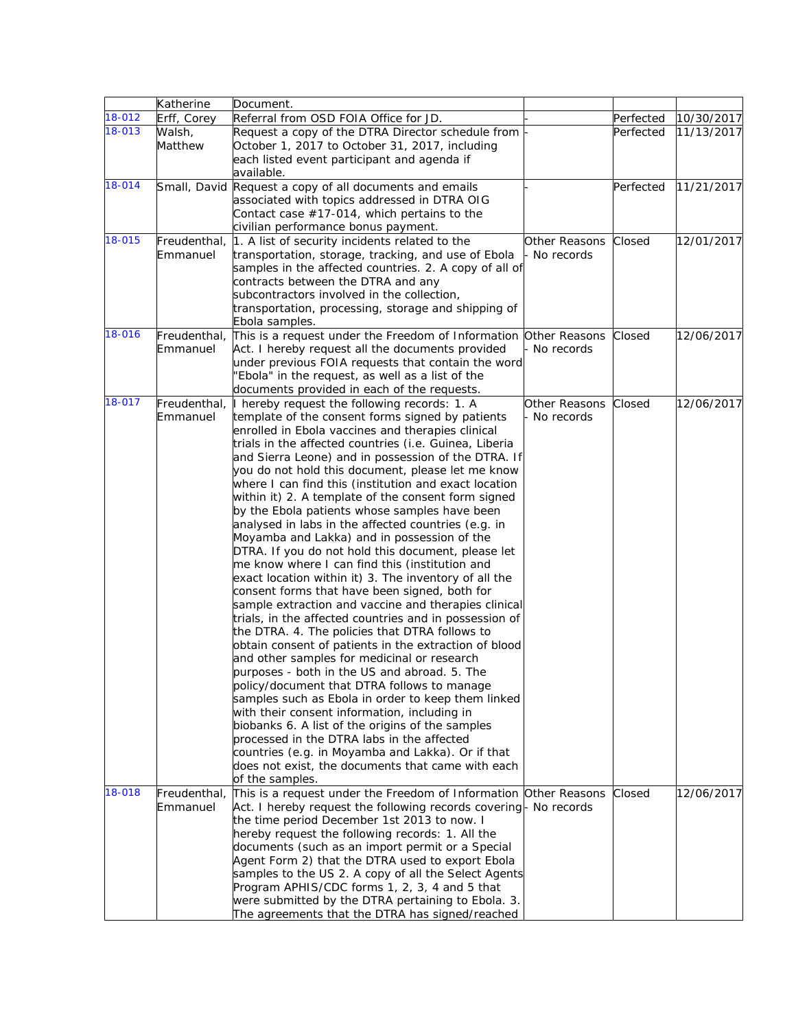|            | Katherine    | Document.                                                                                          |               |           |            |
|------------|--------------|----------------------------------------------------------------------------------------------------|---------------|-----------|------------|
| 18-012     | Erff, Corey  | Referral from OSD FOIA Office for JD.                                                              |               | Perfected | 10/30/2017 |
| 18-013     | Walsh,       | Request a copy of the DTRA Director schedule from                                                  |               | Perfected | 11/13/2017 |
|            | Matthew      | October 1, 2017 to October 31, 2017, including                                                     |               |           |            |
|            |              | each listed event participant and agenda if                                                        |               |           |            |
|            |              | available.                                                                                         |               |           |            |
| 18-014     |              | Small, David Request a copy of all documents and emails                                            |               | Perfected | 11/21/2017 |
|            |              | associated with topics addressed in DTRA OIG                                                       |               |           |            |
|            |              | Contact case #17-014, which pertains to the                                                        |               |           |            |
|            |              | civilian performance bonus payment.                                                                |               |           |            |
| 18-015     | Freudenthal, | 1. A list of security incidents related to the                                                     | Other Reasons | Closed    | 12/01/2017 |
|            | Emmanuel     | transportation, storage, tracking, and use of Ebola                                                | No records    |           |            |
|            |              | samples in the affected countries. 2. A copy of all of                                             |               |           |            |
|            |              | contracts between the DTRA and any                                                                 |               |           |            |
|            |              | subcontractors involved in the collection,                                                         |               |           |            |
|            |              | transportation, processing, storage and shipping of                                                |               |           |            |
| 18-016     | Freudenthal, | Ebola samples.<br>This is a request under the Freedom of Information Other Reasons                 |               | Closed    | 12/06/2017 |
|            | Emmanuel     | Act. I hereby request all the documents provided                                                   | No records    |           |            |
|            |              | under previous FOIA requests that contain the word                                                 |               |           |            |
|            |              | "Ebola" in the request, as well as a list of the                                                   |               |           |            |
|            |              | documents provided in each of the requests.                                                        |               |           |            |
| $18 - 017$ | Freudenthal, | I hereby request the following records: 1. A                                                       | Other Reasons | Closed    | 12/06/2017 |
|            | Emmanuel     | template of the consent forms signed by patients                                                   | - No records  |           |            |
|            |              | enrolled in Ebola vaccines and therapies clinical                                                  |               |           |            |
|            |              | trials in the affected countries (i.e. Guinea, Liberia                                             |               |           |            |
|            |              | and Sierra Leone) and in possession of the DTRA. If                                                |               |           |            |
|            |              | you do not hold this document, please let me know                                                  |               |           |            |
|            |              | where I can find this (institution and exact location                                              |               |           |            |
|            |              | within it) 2. A template of the consent form signed                                                |               |           |            |
|            |              | by the Ebola patients whose samples have been                                                      |               |           |            |
|            |              | analysed in labs in the affected countries (e.g. in                                                |               |           |            |
|            |              | Moyamba and Lakka) and in possession of the                                                        |               |           |            |
|            |              | DTRA. If you do not hold this document, please let                                                 |               |           |            |
|            |              | me know where I can find this (institution and                                                     |               |           |            |
|            |              | exact location within it) 3. The inventory of all the                                              |               |           |            |
|            |              | consent forms that have been signed, both for                                                      |               |           |            |
|            |              | sample extraction and vaccine and therapies clinical                                               |               |           |            |
|            |              | trials, in the affected countries and in possession of                                             |               |           |            |
|            |              | the DTRA. 4. The policies that DTRA follows to                                                     |               |           |            |
|            |              | obtain consent of patients in the extraction of blood                                              |               |           |            |
|            |              | and other samples for medicinal or research                                                        |               |           |            |
|            |              | purposes - both in the US and abroad. 5. The                                                       |               |           |            |
|            |              | policy/document that DTRA follows to manage                                                        |               |           |            |
|            |              | samples such as Ebola in order to keep them linked<br>with their consent information, including in |               |           |            |
|            |              | biobanks 6. A list of the origins of the samples                                                   |               |           |            |
|            |              | processed in the DTRA labs in the affected                                                         |               |           |            |
|            |              | countries (e.g. in Moyamba and Lakka). Or if that                                                  |               |           |            |
|            |              | does not exist, the documents that came with each                                                  |               |           |            |
|            |              | of the samples.                                                                                    |               |           |            |
| 18-018     | Freudenthal, | This is a request under the Freedom of Information Other Reasons                                   |               | Closed    | 12/06/2017 |
|            | Emmanuel     | Act. I hereby request the following records covering- No records                                   |               |           |            |
|            |              | the time period December 1st 2013 to now. I                                                        |               |           |            |
|            |              | hereby request the following records: 1. All the                                                   |               |           |            |
|            |              | documents (such as an import permit or a Special                                                   |               |           |            |
|            |              | Agent Form 2) that the DTRA used to export Ebola                                                   |               |           |            |
|            |              | samples to the US 2. A copy of all the Select Agents                                               |               |           |            |
|            |              | Program APHIS/CDC forms 1, 2, 3, 4 and 5 that                                                      |               |           |            |
|            |              | were submitted by the DTRA pertaining to Ebola. 3.                                                 |               |           |            |
|            |              | The agreements that the DTRA has signed/reached                                                    |               |           |            |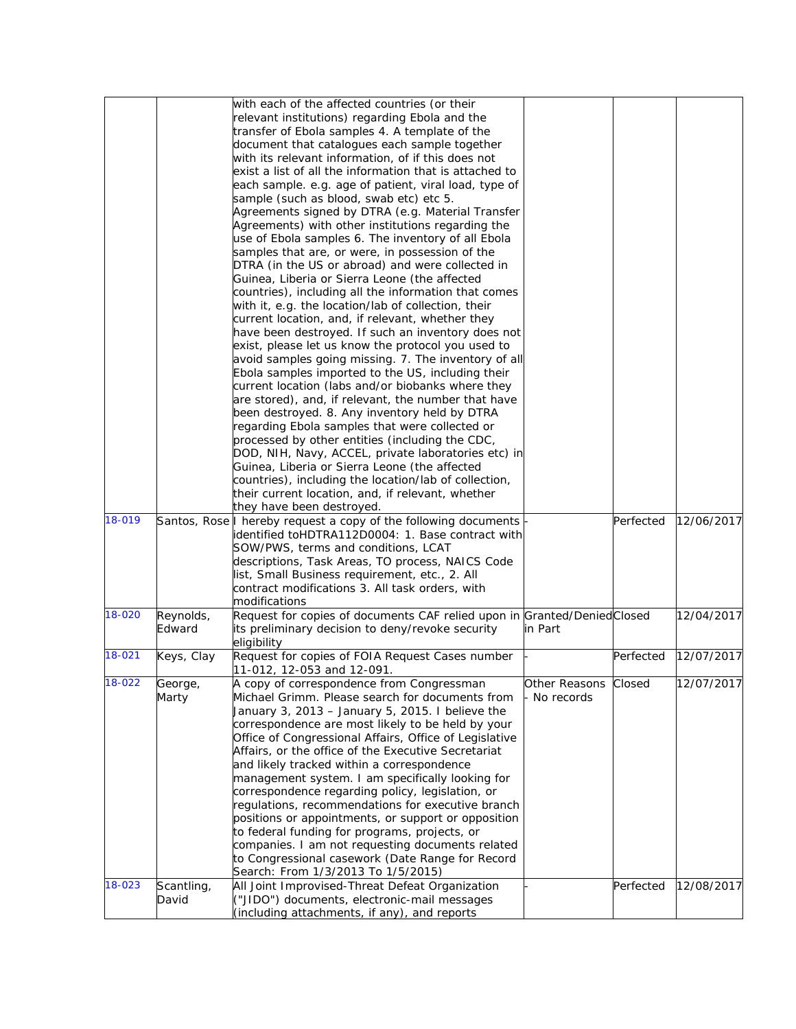| 18-019 |                     | with each of the affected countries (or their<br>relevant institutions) regarding Ebola and the<br>transfer of Ebola samples 4. A template of the<br>document that catalogues each sample together<br>with its relevant information, of if this does not<br>exist a list of all the information that is attached to<br>each sample. e.g. age of patient, viral load, type of<br>sample (such as blood, swab etc) etc 5.<br>Agreements signed by DTRA (e.g. Material Transfer<br>Agreements) with other institutions regarding the<br>use of Ebola samples 6. The inventory of all Ebola<br>samples that are, or were, in possession of the<br>DTRA (in the US or abroad) and were collected in<br>Guinea, Liberia or Sierra Leone (the affected<br>countries), including all the information that comes<br>with it, e.g. the location/lab of collection, their<br>current location, and, if relevant, whether they<br>have been destroyed. If such an inventory does not<br>exist, please let us know the protocol you used to<br>avoid samples going missing. 7. The inventory of all<br>Ebola samples imported to the US, including their<br>current location (labs and/or biobanks where they<br>are stored), and, if relevant, the number that have<br>been destroyed. 8. Any inventory held by DTRA<br>regarding Ebola samples that were collected or<br>processed by other entities (including the CDC,<br>DOD, NIH, Navy, ACCEL, private laboratories etc) in<br>Guinea, Liberia or Sierra Leone (the affected<br>countries), including the location/lab of collection,<br>their current location, and, if relevant, whether<br>they have been destroyed.<br>Santos, Rose I hereby request a copy of the following documents<br>identified toHDTRA112D0004: 1. Base contract with<br>SOW/PWS, terms and conditions, LCAT<br>descriptions, Task Areas, TO process, NAICS Code | Perfected | 12/06/2017 |
|--------|---------------------|-------------------------------------------------------------------------------------------------------------------------------------------------------------------------------------------------------------------------------------------------------------------------------------------------------------------------------------------------------------------------------------------------------------------------------------------------------------------------------------------------------------------------------------------------------------------------------------------------------------------------------------------------------------------------------------------------------------------------------------------------------------------------------------------------------------------------------------------------------------------------------------------------------------------------------------------------------------------------------------------------------------------------------------------------------------------------------------------------------------------------------------------------------------------------------------------------------------------------------------------------------------------------------------------------------------------------------------------------------------------------------------------------------------------------------------------------------------------------------------------------------------------------------------------------------------------------------------------------------------------------------------------------------------------------------------------------------------------------------------------------------------------------------------------------------------------------------------------------------------------------------------|-----------|------------|
|        |                     | list, Small Business requirement, etc., 2. All                                                                                                                                                                                                                                                                                                                                                                                                                                                                                                                                                                                                                                                                                                                                                                                                                                                                                                                                                                                                                                                                                                                                                                                                                                                                                                                                                                                                                                                                                                                                                                                                                                                                                                                                                                                                                                      |           |            |
|        |                     | contract modifications 3. All task orders, with                                                                                                                                                                                                                                                                                                                                                                                                                                                                                                                                                                                                                                                                                                                                                                                                                                                                                                                                                                                                                                                                                                                                                                                                                                                                                                                                                                                                                                                                                                                                                                                                                                                                                                                                                                                                                                     |           |            |
| 18-020 |                     | modifications                                                                                                                                                                                                                                                                                                                                                                                                                                                                                                                                                                                                                                                                                                                                                                                                                                                                                                                                                                                                                                                                                                                                                                                                                                                                                                                                                                                                                                                                                                                                                                                                                                                                                                                                                                                                                                                                       |           |            |
|        | Reynolds,<br>Edward | Request for copies of documents CAF relied upon in Granted/Denied Closed<br>its preliminary decision to deny/revoke security<br>in Part<br>eligibility                                                                                                                                                                                                                                                                                                                                                                                                                                                                                                                                                                                                                                                                                                                                                                                                                                                                                                                                                                                                                                                                                                                                                                                                                                                                                                                                                                                                                                                                                                                                                                                                                                                                                                                              |           | 12/04/2017 |
| 18-021 | Keys, Clay          | Request for copies of FOIA Request Cases number<br>11-012, 12-053 and 12-091.                                                                                                                                                                                                                                                                                                                                                                                                                                                                                                                                                                                                                                                                                                                                                                                                                                                                                                                                                                                                                                                                                                                                                                                                                                                                                                                                                                                                                                                                                                                                                                                                                                                                                                                                                                                                       | Perfected | 12/07/2017 |
| 18-022 | George,<br>Marty    | A copy of correspondence from Congressman<br>Other Reasons Closed<br>Michael Grimm. Please search for documents from<br>No records<br>January 3, 2013 - January 5, 2015. I believe the<br>correspondence are most likely to be held by your<br>Office of Congressional Affairs, Office of Legislative<br>Affairs, or the office of the Executive Secretariat<br>and likely tracked within a correspondence<br>management system. I am specifically looking for<br>correspondence regarding policy, legislation, or<br>regulations, recommendations for executive branch<br>positions or appointments, or support or opposition<br>to federal funding for programs, projects, or<br>companies. I am not requesting documents related<br>to Congressional casework (Date Range for Record<br>Search: From 1/3/2013 To 1/5/2015)                                                                                                                                                                                                                                                                                                                                                                                                                                                                                                                                                                                                                                                                                                                                                                                                                                                                                                                                                                                                                                                       |           | 12/07/2017 |
| 18-023 | Scantling,<br>David | All Joint Improvised-Threat Defeat Organization<br>("JIDO") documents, electronic-mail messages<br>(including attachments, if any), and reports                                                                                                                                                                                                                                                                                                                                                                                                                                                                                                                                                                                                                                                                                                                                                                                                                                                                                                                                                                                                                                                                                                                                                                                                                                                                                                                                                                                                                                                                                                                                                                                                                                                                                                                                     | Perfected | 12/08/2017 |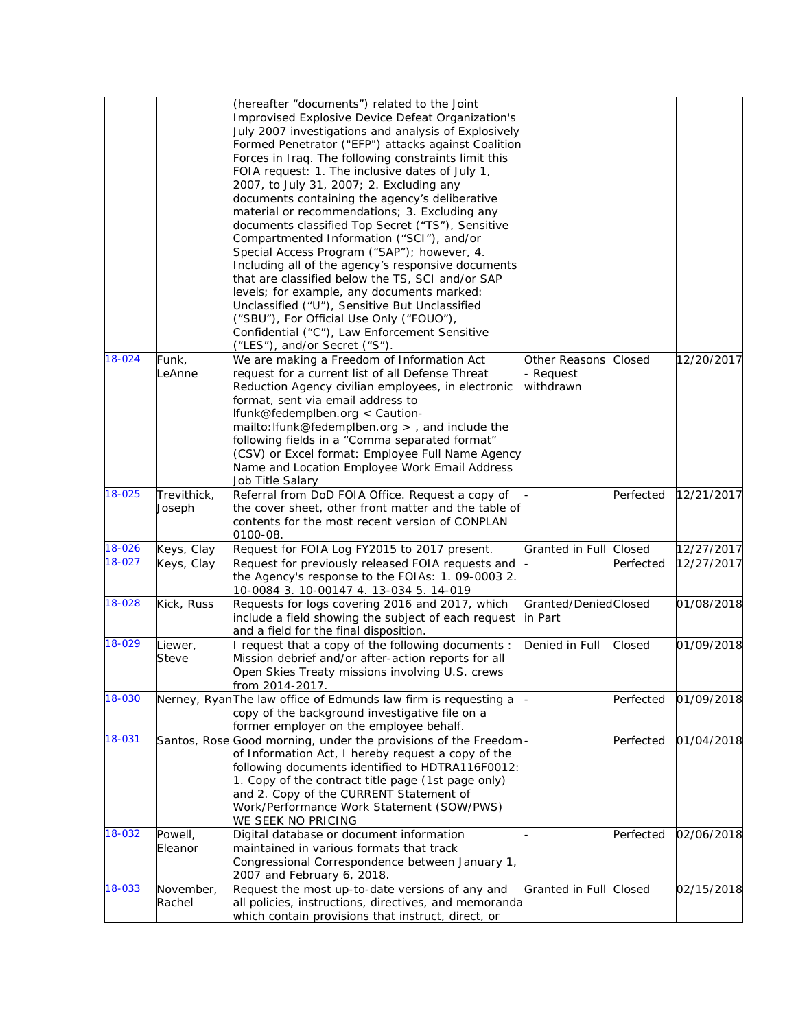|        |                       | (hereafter "documents") related to the Joint<br>Improvised Explosive Device Defeat Organization's<br>July 2007 investigations and analysis of Explosively<br>Formed Penetrator ("EFP") attacks against Coalition<br>Forces in Iraq. The following constraints limit this<br>FOIA request: 1. The inclusive dates of July 1,<br>2007, to July 31, 2007; 2. Excluding any<br>documents containing the agency's deliberative<br>material or recommendations; 3. Excluding any<br>documents classified Top Secret ("TS"), Sensitive<br>Compartmented Information ("SCI"), and/or<br>Special Access Program ("SAP"); however, 4.<br>Including all of the agency's responsive documents<br>that are classified below the TS, SCI and/or SAP<br>levels; for example, any documents marked:<br>Unclassified ("U"), Sensitive But Unclassified<br>("SBU"), For Official Use Only ("FOUO"),<br>Confidential ("C"), Law Enforcement Sensitive<br>("LES"), and/or Secret ("S"). |                                       |           |            |
|--------|-----------------------|---------------------------------------------------------------------------------------------------------------------------------------------------------------------------------------------------------------------------------------------------------------------------------------------------------------------------------------------------------------------------------------------------------------------------------------------------------------------------------------------------------------------------------------------------------------------------------------------------------------------------------------------------------------------------------------------------------------------------------------------------------------------------------------------------------------------------------------------------------------------------------------------------------------------------------------------------------------------|---------------------------------------|-----------|------------|
| 18-024 | Funk,<br>LeAnne       | We are making a Freedom of Information Act<br>request for a current list of all Defense Threat<br>Reduction Agency civilian employees, in electronic<br>format, sent via email address to<br>Ifunk@fedemplben.org < Caution-<br>$mailto: Ifunk@fedemplben.org >$ , and include the<br>following fields in a "Comma separated format"<br>(CSV) or Excel format: Employee Full Name Agency<br>Name and Location Employee Work Email Address<br>Job Title Salary                                                                                                                                                                                                                                                                                                                                                                                                                                                                                                       | Other Reasons<br>Request<br>withdrawn | Closed    | 12/20/2017 |
| 18-025 | Trevithick,<br>Joseph | Referral from DoD FOIA Office. Request a copy of<br>the cover sheet, other front matter and the table of<br>contents for the most recent version of CONPLAN<br>0100-08.                                                                                                                                                                                                                                                                                                                                                                                                                                                                                                                                                                                                                                                                                                                                                                                             |                                       | Perfected | 12/21/2017 |
| 18-026 | Keys, Clay            | Request for FOIA Log FY2015 to 2017 present.                                                                                                                                                                                                                                                                                                                                                                                                                                                                                                                                                                                                                                                                                                                                                                                                                                                                                                                        | Granted in Full Closed                |           | 12/27/2017 |
| 18-027 | Keys, Clay            | Request for previously released FOIA requests and<br>the Agency's response to the FOIAs: 1. 09-0003 2.<br>10-0084 3. 10-00147 4. 13-034 5. 14-019                                                                                                                                                                                                                                                                                                                                                                                                                                                                                                                                                                                                                                                                                                                                                                                                                   |                                       | Perfected | 12/27/2017 |
| 18-028 | Kick, Russ            | Requests for logs covering 2016 and 2017, which<br>include a field showing the subject of each request<br>and a field for the final disposition.                                                                                                                                                                                                                                                                                                                                                                                                                                                                                                                                                                                                                                                                                                                                                                                                                    | Granted/DeniedClosed<br>in Part       |           | 01/08/2018 |
| 18-029 | Liewer,<br>Steve      | I request that a copy of the following documents :<br>Mission debrief and/or after-action reports for all<br>Open Skies Treaty missions involving U.S. crews<br>from 2014-2017.                                                                                                                                                                                                                                                                                                                                                                                                                                                                                                                                                                                                                                                                                                                                                                                     | Denied in Full                        | Closed    | 01/09/2018 |
| 18-030 |                       | Nerney, RyanThe law office of Edmunds law firm is requesting a<br>copy of the background investigative file on a<br>former employer on the employee behalf.                                                                                                                                                                                                                                                                                                                                                                                                                                                                                                                                                                                                                                                                                                                                                                                                         |                                       | Perfected | 01/09/2018 |
| 18-031 |                       | Santos, Rose Good morning, under the provisions of the Freedom<br>of Information Act, I hereby request a copy of the<br>following documents identified to HDTRA116F0012:<br>1. Copy of the contract title page (1st page only)<br>and 2. Copy of the CURRENT Statement of<br>Work/Performance Work Statement (SOW/PWS)<br>WE SEEK NO PRICING                                                                                                                                                                                                                                                                                                                                                                                                                                                                                                                                                                                                                        |                                       | Perfected | 01/04/2018 |
| 18-032 | Powell,<br>Eleanor    | Digital database or document information<br>maintained in various formats that track<br>Congressional Correspondence between January 1,<br>2007 and February 6, 2018.                                                                                                                                                                                                                                                                                                                                                                                                                                                                                                                                                                                                                                                                                                                                                                                               |                                       | Perfected | 02/06/2018 |
| 18-033 | November,<br>Rachel   | Request the most up-to-date versions of any and<br>all policies, instructions, directives, and memoranda<br>which contain provisions that instruct, direct, or                                                                                                                                                                                                                                                                                                                                                                                                                                                                                                                                                                                                                                                                                                                                                                                                      | Granted in Full Closed                |           | 02/15/2018 |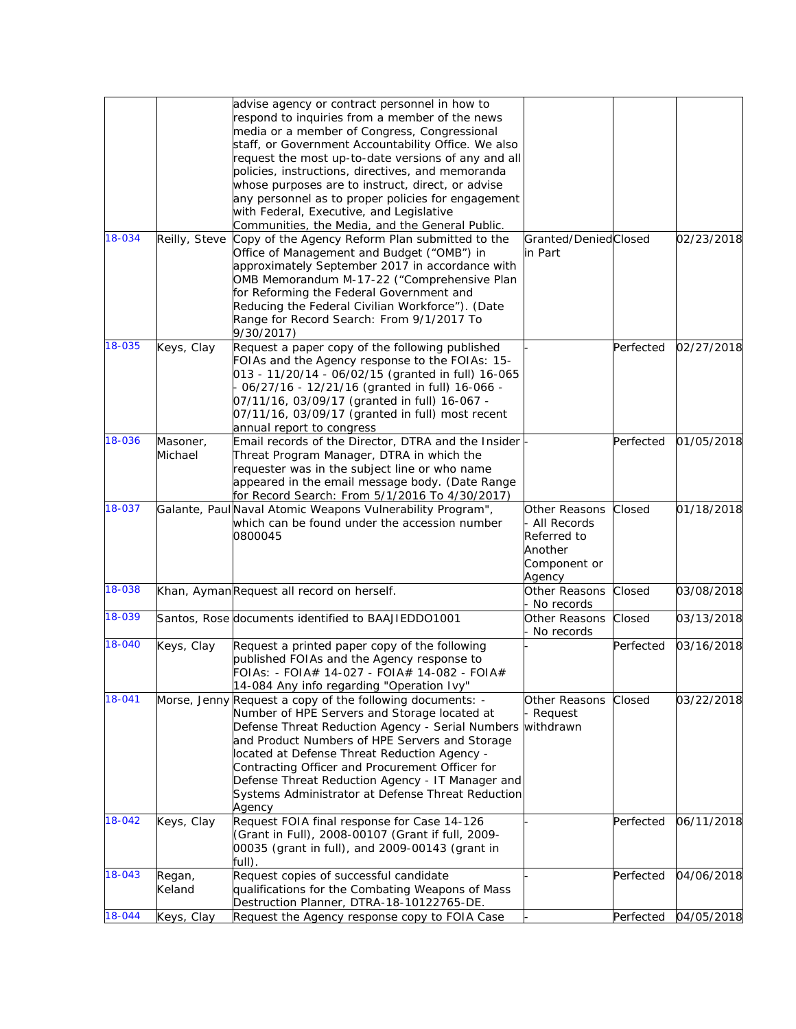|        |                     | advise agency or contract personnel in how to<br>respond to inquiries from a member of the news<br>media or a member of Congress, Congressional<br>staff, or Government Accountability Office. We also<br>request the most up-to-date versions of any and all                                                                                                                                                                         |                                                                                    |           |            |
|--------|---------------------|---------------------------------------------------------------------------------------------------------------------------------------------------------------------------------------------------------------------------------------------------------------------------------------------------------------------------------------------------------------------------------------------------------------------------------------|------------------------------------------------------------------------------------|-----------|------------|
|        |                     | policies, instructions, directives, and memoranda<br>whose purposes are to instruct, direct, or advise<br>any personnel as to proper policies for engagement<br>with Federal, Executive, and Legislative<br>Communities, the Media, and the General Public.                                                                                                                                                                           |                                                                                    |           |            |
| 18-034 |                     | Reilly, Steve Copy of the Agency Reform Plan submitted to the<br>Office of Management and Budget ("OMB") in<br>approximately September 2017 in accordance with<br>OMB Memorandum M-17-22 ("Comprehensive Plan<br>for Reforming the Federal Government and<br>Reducing the Federal Civilian Workforce"). (Date<br>Range for Record Search: From 9/1/2017 To<br>9/30/2017)                                                              | Granted/DeniedClosed<br>in Part                                                    |           | 02/23/2018 |
| 18-035 | Keys, Clay          | Request a paper copy of the following published<br>FOIAs and the Agency response to the FOIAs: 15-<br>013 - 11/20/14 - 06/02/15 (granted in full) 16-065<br>06/27/16 - 12/21/16 (granted in full) 16-066 -<br>07/11/16, 03/09/17 (granted in full) 16-067 -<br>07/11/16, 03/09/17 (granted in full) most recent<br>annual report to congress                                                                                          |                                                                                    | Perfected | 02/27/2018 |
| 18-036 | Masoner,<br>Michael | Email records of the Director, DTRA and the Insider<br>Threat Program Manager, DTRA in which the<br>requester was in the subject line or who name<br>appeared in the email message body. (Date Range<br>for Record Search: From 5/1/2016 To 4/30/2017)                                                                                                                                                                                |                                                                                    | Perfected | 01/05/2018 |
| 18-037 |                     | Galante, Paul Naval Atomic Weapons Vulnerability Program",<br>which can be found under the accession number<br>0800045                                                                                                                                                                                                                                                                                                                | Other Reasons<br>- All Records<br>Referred to<br>Another<br>Component or<br>Agency | Closed    | 01/18/2018 |
| 18-038 |                     | Khan, AymanRequest all record on herself.                                                                                                                                                                                                                                                                                                                                                                                             | Other Reasons<br>- No records                                                      | Closed    | 03/08/2018 |
| 18-039 |                     | Santos, Rose documents identified to BAAJIEDDO1001                                                                                                                                                                                                                                                                                                                                                                                    | Other Reasons<br>- No records                                                      | Closed    | 03/13/2018 |
| 18-040 | Keys, Clay          | Request a printed paper copy of the following<br>published FOIAs and the Agency response to<br>FOIAs: - FOIA# 14-027 - FOIA# 14-082 - FOIA#<br>14-084 Any info regarding "Operation Ivy"                                                                                                                                                                                                                                              |                                                                                    | Perfected | 03/16/2018 |
| 18-041 |                     | Morse, Jenny Request a copy of the following documents: -<br>Number of HPE Servers and Storage located at<br>Defense Threat Reduction Agency - Serial Numbers<br>and Product Numbers of HPE Servers and Storage<br>located at Defense Threat Reduction Agency -<br>Contracting Officer and Procurement Officer for<br>Defense Threat Reduction Agency - IT Manager and<br>Systems Administrator at Defense Threat Reduction<br>Agency | Other Reasons<br>- Request<br>withdrawn                                            | Closed    | 03/22/2018 |
| 18-042 | Keys, Clay          | Request FOIA final response for Case 14-126<br>(Grant in Full), 2008-00107 (Grant if full, 2009-<br>00035 (grant in full), and 2009-00143 (grant in<br>full).                                                                                                                                                                                                                                                                         |                                                                                    | Perfected | 06/11/2018 |
| 18-043 | Regan,<br>Keland    | Request copies of successful candidate<br>qualifications for the Combating Weapons of Mass<br>Destruction Planner, DTRA-18-10122765-DE.                                                                                                                                                                                                                                                                                               |                                                                                    | Perfected | 04/06/2018 |
| 18-044 | Keys, Clay          | Request the Agency response copy to FOIA Case                                                                                                                                                                                                                                                                                                                                                                                         |                                                                                    | Perfected | 04/05/2018 |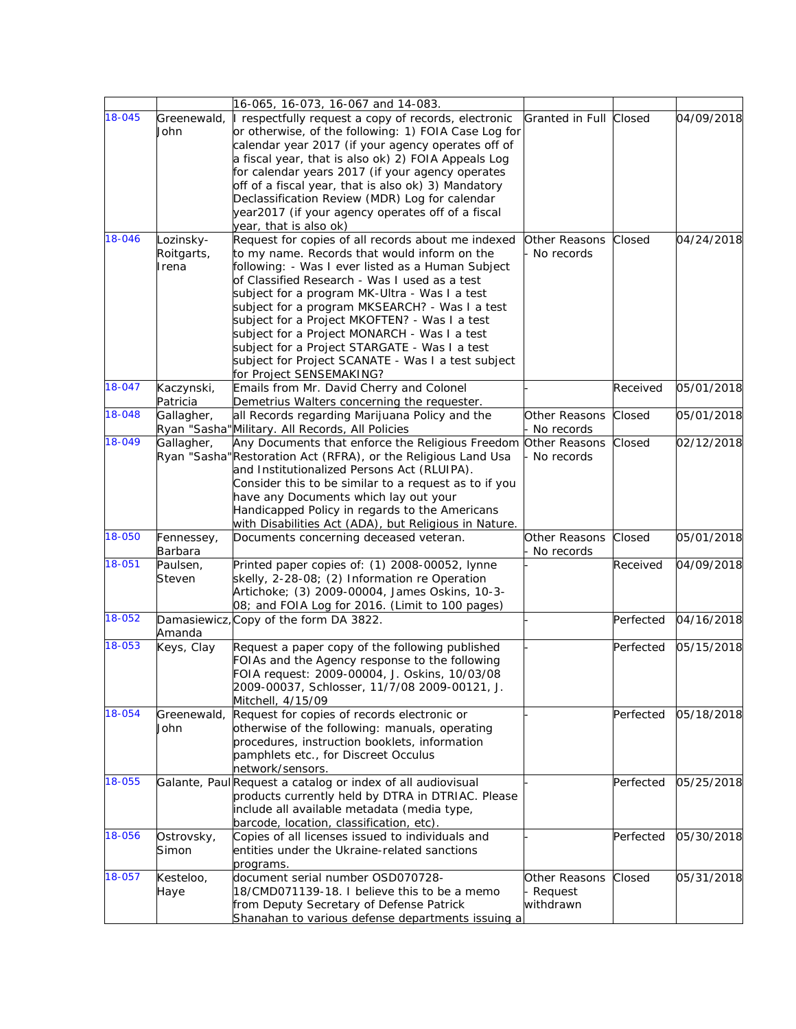|        |                                  | 16-065, 16-073, 16-067 and 14-083.                                                                                                                                                                                                                                                                                                                                                                                                                                                                                                              |                                       |           |            |
|--------|----------------------------------|-------------------------------------------------------------------------------------------------------------------------------------------------------------------------------------------------------------------------------------------------------------------------------------------------------------------------------------------------------------------------------------------------------------------------------------------------------------------------------------------------------------------------------------------------|---------------------------------------|-----------|------------|
| 18-045 | John                             | Greenewald, I respectfully request a copy of records, electronic<br>or otherwise, of the following: 1) FOIA Case Log for<br>calendar year 2017 (if your agency operates off of<br>a fiscal year, that is also ok) 2) FOIA Appeals Log<br>for calendar years 2017 (if your agency operates<br>off of a fiscal year, that is also ok) 3) Mandatory<br>Declassification Review (MDR) Log for calendar<br>year2017 (if your agency operates off of a fiscal<br>year, that is also ok)                                                               | Granted in Full Closed                |           | 04/09/2018 |
| 18-046 | Lozinsky-<br>Roitgarts,<br>Irena | Request for copies of all records about me indexed<br>to my name. Records that would inform on the<br>following: - Was I ever listed as a Human Subject<br>of Classified Research - Was I used as a test<br>subject for a program MK-Ultra - Was I a test<br>subject for a program MKSEARCH? - Was I a test<br>subject for a Project MKOFTEN? - Was I a test<br>subject for a Project MONARCH - Was I a test<br>subject for a Project STARGATE - Was I a test<br>subject for Project SCANATE - Was I a test subject<br>for Project SENSEMAKING? | Other Reasons<br>No records           | Closed    | 04/24/2018 |
| 18-047 | Kaczynski,<br>Patricia           | Emails from Mr. David Cherry and Colonel<br>Demetrius Walters concerning the requester.                                                                                                                                                                                                                                                                                                                                                                                                                                                         |                                       | Received  | 05/01/2018 |
| 18-048 | Gallagher,                       | all Records regarding Marijuana Policy and the<br>Ryan "Sasha"Military. All Records, All Policies                                                                                                                                                                                                                                                                                                                                                                                                                                               | Other Reasons<br>No records           | Closed    | 05/01/2018 |
| 18-049 | Gallagher,                       | Any Documents that enforce the Religious Freedom<br>Ryan "Sasha" Restoration Act (RFRA), or the Religious Land Usa<br>and Institutionalized Persons Act (RLUIPA).<br>Consider this to be similar to a request as to if you<br>have any Documents which lay out your<br>Handicapped Policy in regards to the Americans<br>with Disabilities Act (ADA), but Religious in Nature.                                                                                                                                                                  | Other Reasons<br>No records           | Closed    | 02/12/2018 |
| 18-050 | Fennessey,<br>Barbara            | Documents concerning deceased veteran.                                                                                                                                                                                                                                                                                                                                                                                                                                                                                                          | Other Reasons<br>No records           | Closed    | 05/01/2018 |
| 18-051 | Paulsen,<br>Steven               | Printed paper copies of: (1) 2008-00052, lynne<br>skelly, 2-28-08; (2) Information re Operation<br>Artichoke; (3) 2009-00004, James Oskins, 10-3-<br>08; and FOIA Log for 2016. (Limit to 100 pages)                                                                                                                                                                                                                                                                                                                                            |                                       | Received  | 04/09/2018 |
| 18-052 | Amanda                           | Damasiewicz, Copy of the form DA 3822.                                                                                                                                                                                                                                                                                                                                                                                                                                                                                                          |                                       | Perfected | 04/16/2018 |
| 18-053 | Keys, Clay                       | Request a paper copy of the following published<br>FOIAs and the Agency response to the following<br>FOIA request: 2009-00004, J. Oskins, 10/03/08<br>2009-00037, Schlosser, 11/7/08 2009-00121, J.<br>Mitchell, 4/15/09                                                                                                                                                                                                                                                                                                                        |                                       | Perfected | 05/15/2018 |
| 18-054 | Greenewald,<br>John              | Request for copies of records electronic or<br>otherwise of the following: manuals, operating<br>procedures, instruction booklets, information<br>pamphlets etc., for Discreet Occulus<br>network/sensors.                                                                                                                                                                                                                                                                                                                                      |                                       | Perfected | 05/18/2018 |
| 18-055 |                                  | Galante, Paul Request a catalog or index of all audiovisual<br>products currently held by DTRA in DTRIAC. Please<br>include all available metadata (media type,<br>barcode, location, classification, etc).                                                                                                                                                                                                                                                                                                                                     |                                       | Perfected | 05/25/2018 |
| 18-056 | Ostrovsky,<br>Simon              | Copies of all licenses issued to individuals and<br>entities under the Ukraine-related sanctions<br>programs.                                                                                                                                                                                                                                                                                                                                                                                                                                   |                                       | Perfected | 05/30/2018 |
| 18-057 | Kesteloo,<br>Haye                | document serial number OSD070728-<br>18/CMD071139-18. I believe this to be a memo<br>from Deputy Secretary of Defense Patrick<br>Shanahan to various defense departments issuing a                                                                                                                                                                                                                                                                                                                                                              | Other Reasons<br>Request<br>withdrawn | Closed    | 05/31/2018 |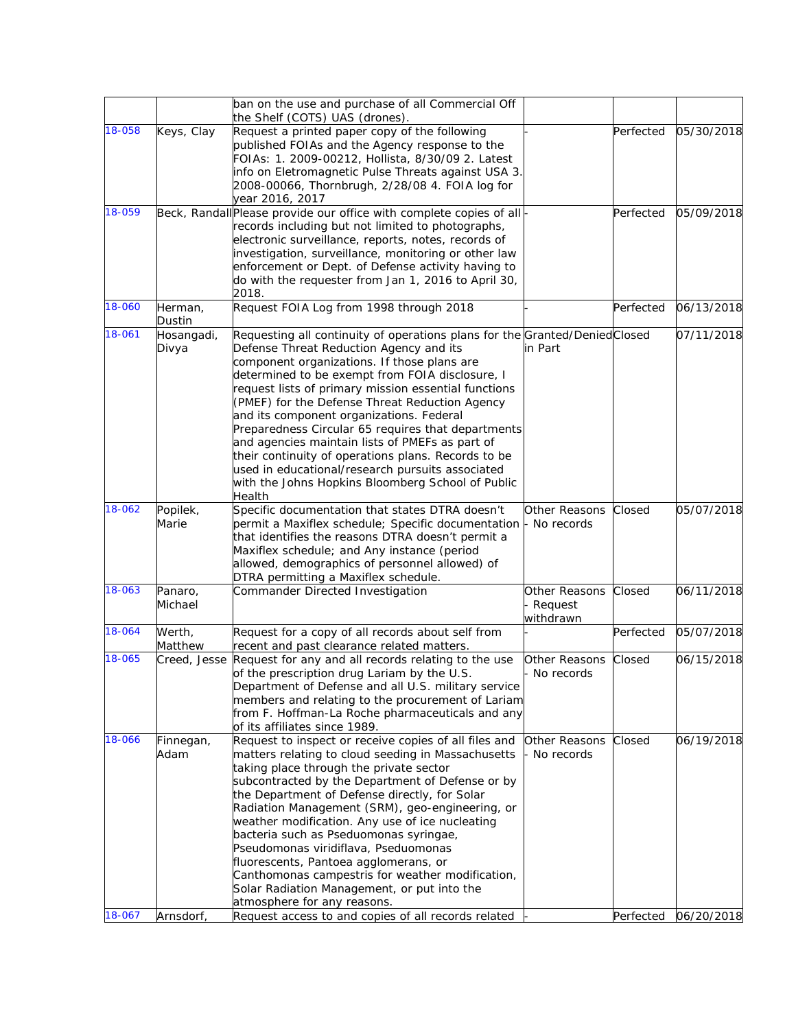|        |                    | ban on the use and purchase of all Commercial Off                                                      |                          |           |            |
|--------|--------------------|--------------------------------------------------------------------------------------------------------|--------------------------|-----------|------------|
|        |                    | the Shelf (COTS) UAS (drones).                                                                         |                          |           |            |
| 18-058 | Keys, Clay         | Request a printed paper copy of the following                                                          |                          | Perfected | 05/30/2018 |
|        |                    | published FOIAs and the Agency response to the                                                         |                          |           |            |
|        |                    | FOIAs: 1. 2009-00212, Hollista, 8/30/09 2. Latest                                                      |                          |           |            |
|        |                    | info on Eletromagnetic Pulse Threats against USA 3.                                                    |                          |           |            |
|        |                    | 2008-00066, Thornbrugh, 2/28/08 4. FOIA log for<br>year 2016, 2017                                     |                          |           |            |
| 18-059 |                    | Beck, Randall Please provide our office with complete copies of all-                                   |                          | Perfected | 05/09/2018 |
|        |                    | records including but not limited to photographs,                                                      |                          |           |            |
|        |                    | electronic surveillance, reports, notes, records of                                                    |                          |           |            |
|        |                    | investigation, surveillance, monitoring or other law                                                   |                          |           |            |
|        |                    | enforcement or Dept. of Defense activity having to                                                     |                          |           |            |
|        |                    | do with the requester from Jan 1, 2016 to April 30,<br>2018.                                           |                          |           |            |
| 18-060 | Herman,            | Request FOIA Log from 1998 through 2018                                                                |                          | Perfected | 06/13/2018 |
|        | Dustin             |                                                                                                        |                          |           |            |
| 18-061 | Hosangadi,         | Requesting all continuity of operations plans for the Granted/Denied Closed                            |                          |           | 07/11/2018 |
|        | Divya              | Defense Threat Reduction Agency and its                                                                | in Part                  |           |            |
|        |                    | component organizations. If those plans are                                                            |                          |           |            |
|        |                    | determined to be exempt from FOIA disclosure, I                                                        |                          |           |            |
|        |                    | request lists of primary mission essential functions<br>(PMEF) for the Defense Threat Reduction Agency |                          |           |            |
|        |                    | and its component organizations. Federal                                                               |                          |           |            |
|        |                    | Preparedness Circular 65 requires that departments                                                     |                          |           |            |
|        |                    | and agencies maintain lists of PMEFs as part of                                                        |                          |           |            |
|        |                    | their continuity of operations plans. Records to be                                                    |                          |           |            |
|        |                    | used in educational/research pursuits associated                                                       |                          |           |            |
|        |                    | with the Johns Hopkins Bloomberg School of Public                                                      |                          |           |            |
| 18-062 | Popilek,           | Health<br>Specific documentation that states DTRA doesn't                                              | Other Reasons            | Closed    | 05/07/2018 |
|        | Marie              | permit a Maxiflex schedule; Specific documentation  - No records                                       |                          |           |            |
|        |                    | that identifies the reasons DTRA doesn't permit a                                                      |                          |           |            |
|        |                    | Maxiflex schedule; and Any instance (period                                                            |                          |           |            |
|        |                    | allowed, demographics of personnel allowed) of                                                         |                          |           |            |
| 18-063 |                    | DTRA permitting a Maxiflex schedule.                                                                   |                          |           |            |
|        | Panaro,<br>Michael | Commander Directed Investigation                                                                       | Other Reasons<br>Request | Closed    | 06/11/2018 |
|        |                    |                                                                                                        | withdrawn                |           |            |
| 18-064 | Werth,             | Request for a copy of all records about self from                                                      |                          | Perfected | 05/07/2018 |
|        | Matthew            | recent and past clearance related matters.                                                             |                          |           |            |
| 18-065 |                    | Creed, Jesse Request for any and all records relating to the use                                       | Other Reasons            | Closed    | 06/15/2018 |
|        |                    | of the prescription drug Lariam by the U.S.                                                            | - No records             |           |            |
|        |                    | Department of Defense and all U.S. military service                                                    |                          |           |            |
|        |                    | members and relating to the procurement of Lariam<br>from F. Hoffman-La Roche pharmaceuticals and any  |                          |           |            |
|        |                    | of its affiliates since 1989.                                                                          |                          |           |            |
| 18-066 | Finnegan,          | Request to inspect or receive copies of all files and                                                  | Other Reasons            | Closed    | 06/19/2018 |
|        | Adam               | matters relating to cloud seeding in Massachusetts                                                     | No records               |           |            |
|        |                    | taking place through the private sector                                                                |                          |           |            |
|        |                    | subcontracted by the Department of Defense or by                                                       |                          |           |            |
|        |                    | the Department of Defense directly, for Solar                                                          |                          |           |            |
|        |                    | Radiation Management (SRM), geo-engineering, or                                                        |                          |           |            |
|        |                    | weather modification. Any use of ice nucleating<br>bacteria such as Pseduomonas syringae,              |                          |           |            |
|        |                    | Pseudomonas viridiflava, Pseduomonas                                                                   |                          |           |            |
|        |                    | fluorescents, Pantoea agglomerans, or                                                                  |                          |           |            |
|        |                    | Canthomonas campestris for weather modification,                                                       |                          |           |            |
|        |                    | Solar Radiation Management, or put into the                                                            |                          |           |            |
|        |                    | atmosphere for any reasons.                                                                            |                          |           |            |
| 18-067 | Arnsdorf,          | Request access to and copies of all records related                                                    |                          | Perfected | 06/20/2018 |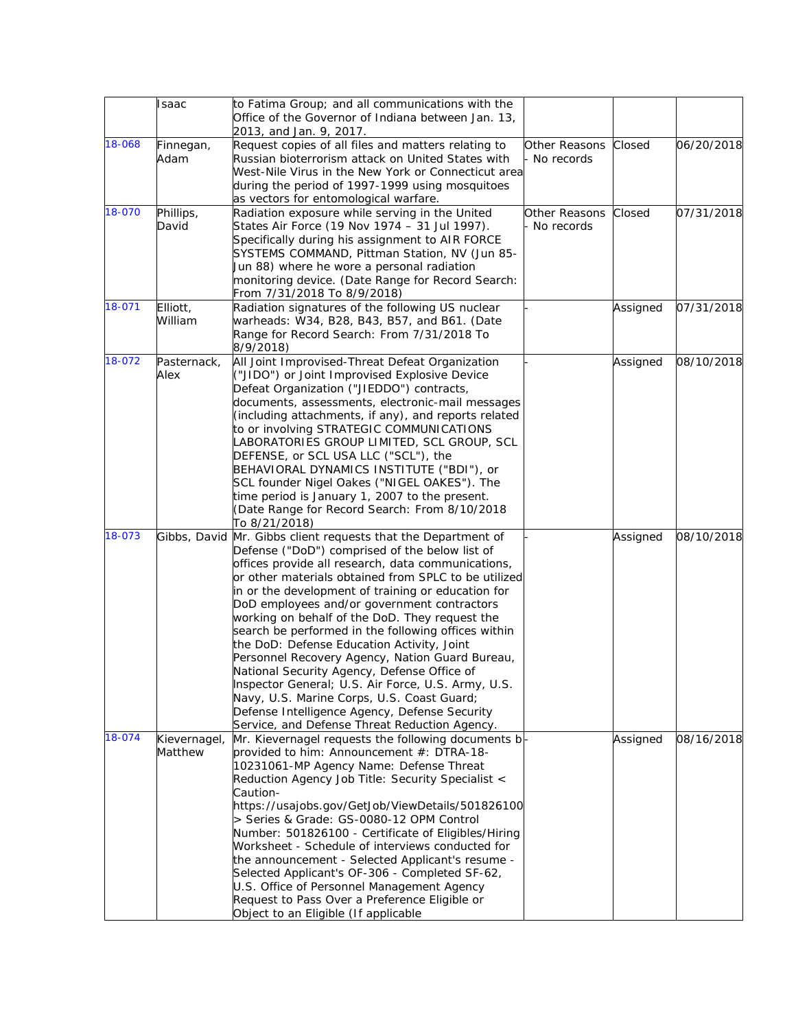|        | Isaac        | to Fatima Group; and all communications with the<br>Office of the Governor of Indiana between Jan. 13, |               |          |            |
|--------|--------------|--------------------------------------------------------------------------------------------------------|---------------|----------|------------|
|        |              | 2013, and Jan. 9, 2017.                                                                                |               |          |            |
| 18-068 | Finnegan,    | Request copies of all files and matters relating to                                                    | Other Reasons | Closed   | 06/20/2018 |
|        | Adam         | Russian bioterrorism attack on United States with                                                      | No records    |          |            |
|        |              | West-Nile Virus in the New York or Connecticut area                                                    |               |          |            |
|        |              | during the period of 1997-1999 using mosquitoes                                                        |               |          |            |
|        |              | as vectors for entomological warfare.                                                                  |               |          |            |
| 18-070 | Phillips,    | Radiation exposure while serving in the United                                                         | Other Reasons | Closed   | 07/31/2018 |
|        | David        | States Air Force (19 Nov 1974 - 31 Jul 1997).                                                          | - No records  |          |            |
|        |              | Specifically during his assignment to AIR FORCE                                                        |               |          |            |
|        |              | SYSTEMS COMMAND, Pittman Station, NV (Jun 85-                                                          |               |          |            |
|        |              | Jun 88) where he wore a personal radiation                                                             |               |          |            |
|        |              | monitoring device. (Date Range for Record Search:                                                      |               |          |            |
|        |              | From 7/31/2018 To 8/9/2018)                                                                            |               |          |            |
| 18-071 | Elliott,     |                                                                                                        |               |          | 07/31/2018 |
|        |              | Radiation signatures of the following US nuclear                                                       |               | Assigned |            |
|        | William      | warheads: W34, B28, B43, B57, and B61. (Date                                                           |               |          |            |
|        |              | Range for Record Search: From 7/31/2018 To                                                             |               |          |            |
|        |              | 8/9/2018)                                                                                              |               |          |            |
| 18-072 | Pasternack,  | All Joint Improvised-Threat Defeat Organization                                                        |               | Assigned | 08/10/2018 |
|        | Alex         | ("JIDO") or Joint Improvised Explosive Device                                                          |               |          |            |
|        |              | Defeat Organization ("JIEDDO") contracts,                                                              |               |          |            |
|        |              | documents, assessments, electronic-mail messages                                                       |               |          |            |
|        |              | (including attachments, if any), and reports related                                                   |               |          |            |
|        |              | to or involving STRATEGIC COMMUNICATIONS                                                               |               |          |            |
|        |              | LABORATORIES GROUP LIMITED, SCL GROUP, SCL                                                             |               |          |            |
|        |              | DEFENSE, or SCL USA LLC ("SCL"), the                                                                   |               |          |            |
|        |              | BEHAVIORAL DYNAMICS INSTITUTE ("BDI"), or                                                              |               |          |            |
|        |              | SCL founder Nigel Oakes ("NIGEL OAKES"). The                                                           |               |          |            |
|        |              | time period is January 1, 2007 to the present.                                                         |               |          |            |
|        |              | (Date Range for Record Search: From 8/10/2018                                                          |               |          |            |
|        |              | To 8/21/2018)                                                                                          |               |          |            |
| 18-073 |              | Gibbs, David Mr. Gibbs client requests that the Department of                                          |               | Assigned | 08/10/2018 |
|        |              | Defense ("DoD") comprised of the below list of                                                         |               |          |            |
|        |              | offices provide all research, data communications,                                                     |               |          |            |
|        |              | or other materials obtained from SPLC to be utilized                                                   |               |          |            |
|        |              | in or the development of training or education for                                                     |               |          |            |
|        |              | DoD employees and/or government contractors                                                            |               |          |            |
|        |              | working on behalf of the DoD. They request the                                                         |               |          |            |
|        |              | search be performed in the following offices within                                                    |               |          |            |
|        |              | the DoD: Defense Education Activity, Joint                                                             |               |          |            |
|        |              | Personnel Recovery Agency, Nation Guard Bureau,                                                        |               |          |            |
|        |              | National Security Agency, Defense Office of                                                            |               |          |            |
|        |              |                                                                                                        |               |          |            |
|        |              | Inspector General; U.S. Air Force, U.S. Army, U.S.                                                     |               |          |            |
|        |              | Navy, U.S. Marine Corps, U.S. Coast Guard;                                                             |               |          |            |
|        |              | Defense Intelligence Agency, Defense Security                                                          |               |          |            |
|        |              | Service, and Defense Threat Reduction Agency.                                                          |               |          |            |
| 18-074 | Kievernagel, | Mr. Kievernagel requests the following documents b-                                                    |               | Assigned | 08/16/2018 |
|        | Matthew      | provided to him: Announcement #: DTRA-18-                                                              |               |          |            |
|        |              | 10231061-MP Agency Name: Defense Threat                                                                |               |          |            |
|        |              | Reduction Agency Job Title: Security Specialist <                                                      |               |          |            |
|        |              | Caution-                                                                                               |               |          |            |
|        |              | https://usajobs.gov/GetJob/ViewDetails/501826100                                                       |               |          |            |
|        |              | > Series & Grade: GS-0080-12 OPM Control                                                               |               |          |            |
|        |              | Number: 501826100 - Certificate of Eligibles/Hiring                                                    |               |          |            |
|        |              | Worksheet - Schedule of interviews conducted for                                                       |               |          |            |
|        |              | the announcement - Selected Applicant's resume -                                                       |               |          |            |
|        |              | Selected Applicant's OF-306 - Completed SF-62,                                                         |               |          |            |
|        |              | U.S. Office of Personnel Management Agency                                                             |               |          |            |
|        |              | Request to Pass Over a Preference Eligible or                                                          |               |          |            |
|        |              | Object to an Eligible (If applicable                                                                   |               |          |            |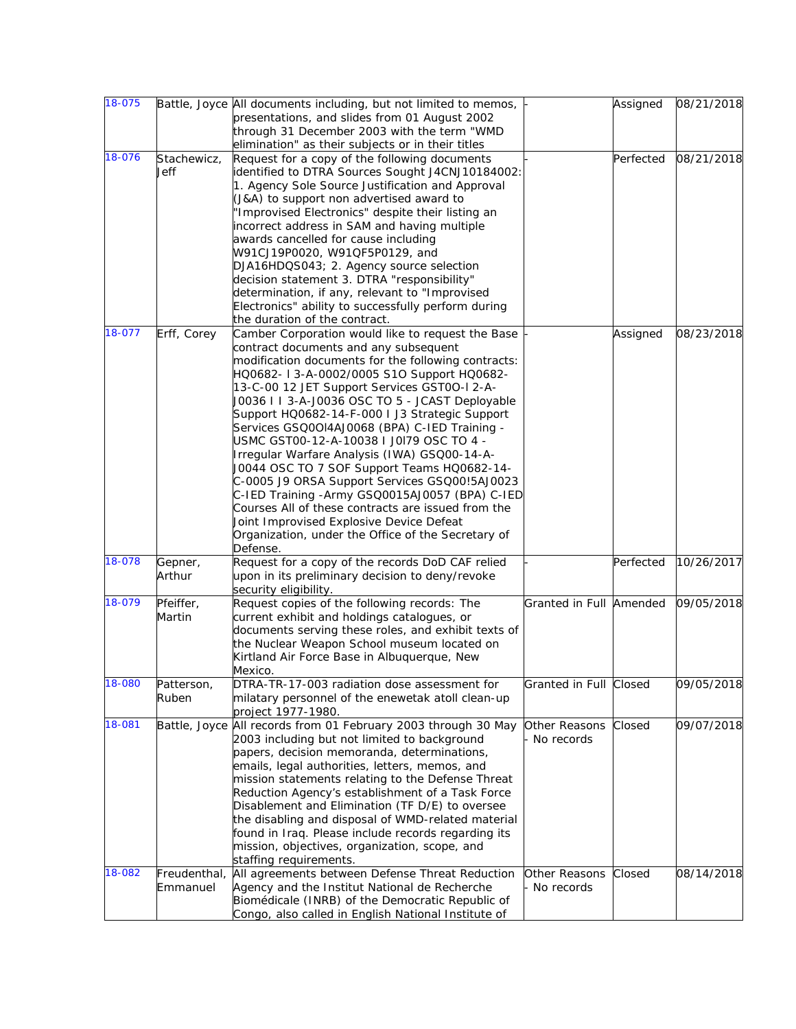| 18-075 |              | Battle, Joyce All documents including, but not limited to memos, |                         | Assigned  | 08/21/2018 |
|--------|--------------|------------------------------------------------------------------|-------------------------|-----------|------------|
|        |              | presentations, and slides from 01 August 2002                    |                         |           |            |
|        |              | through 31 December 2003 with the term "WMD                      |                         |           |            |
|        |              | elimination" as their subjects or in their titles                |                         |           |            |
| 18-076 | Stachewicz,  | Request for a copy of the following documents                    |                         | Perfected | 08/21/2018 |
|        | Jeff         | identified to DTRA Sources Sought J4CNJ10184002:                 |                         |           |            |
|        |              | 1. Agency Sole Source Justification and Approval                 |                         |           |            |
|        |              | (J&A) to support non advertised award to                         |                         |           |            |
|        |              | "Improvised Electronics" despite their listing an                |                         |           |            |
|        |              | incorrect address in SAM and having multiple                     |                         |           |            |
|        |              | awards cancelled for cause including                             |                         |           |            |
|        |              | W91CJ19P0020, W91QF5P0129, and                                   |                         |           |            |
|        |              | DJA16HDQS043; 2. Agency source selection                         |                         |           |            |
|        |              | decision statement 3. DTRA "responsibility"                      |                         |           |            |
|        |              |                                                                  |                         |           |            |
|        |              | determination, if any, relevant to "Improvised                   |                         |           |            |
|        |              | Electronics" ability to successfully perform during              |                         |           |            |
|        |              | the duration of the contract.                                    |                         |           |            |
| 18-077 | Erff, Corey  | Camber Corporation would like to request the Base                |                         | Assigned  | 08/23/2018 |
|        |              | contract documents and any subsequent                            |                         |           |            |
|        |              | modification documents for the following contracts:              |                         |           |            |
|        |              | HQ0682- I 3-A-0002/0005 S1O Support HQ0682-                      |                         |           |            |
|        |              | 13-C-00 12 JET Support Services GST0O-I 2-A-                     |                         |           |            |
|        |              | J0036 I I 3-A-J0036 OSC TO 5 - JCAST Deployable                  |                         |           |            |
|        |              | Support HQ0682-14-F-000 I J3 Strategic Support                   |                         |           |            |
|        |              | Services GSQ00I4AJ0068 (BPA) C-IED Training -                    |                         |           |            |
|        |              | USMC GST00-12-A-10038 I J0I79 OSC TO 4 -                         |                         |           |            |
|        |              | Irregular Warfare Analysis (IWA) GSQ00-14-A-                     |                         |           |            |
|        |              | J0044 OSC TO 7 SOF Support Teams HQ0682-14-                      |                         |           |            |
|        |              | C-0005 J9 ORSA Support Services GSQ00!5AJ0023                    |                         |           |            |
|        |              | C-IED Training -Army GSQ0015AJ0057 (BPA) C-IED                   |                         |           |            |
|        |              | Courses All of these contracts are issued from the               |                         |           |            |
|        |              | Joint Improvised Explosive Device Defeat                         |                         |           |            |
|        |              | Organization, under the Office of the Secretary of               |                         |           |            |
|        |              | Defense.                                                         |                         |           |            |
| 18-078 | Gepner,      | Request for a copy of the records DoD CAF relied                 |                         | Perfected | 10/26/2017 |
|        | Arthur       | upon in its preliminary decision to deny/revoke                  |                         |           |            |
|        |              | security eligibility.                                            |                         |           |            |
| 18-079 | Pfeiffer,    | Request copies of the following records: The                     | Granted in Full Amended |           | 09/05/2018 |
|        | Martin       |                                                                  |                         |           |            |
|        |              | current exhibit and holdings catalogues, or                      |                         |           |            |
|        |              | documents serving these roles, and exhibit texts of              |                         |           |            |
|        |              | the Nuclear Weapon School museum located on                      |                         |           |            |
|        |              | Kirtland Air Force Base in Albuquerque, New                      |                         |           |            |
|        |              | Mexico.                                                          |                         |           |            |
| 18-080 | Patterson,   | DTRA-TR-17-003 radiation dose assessment for                     | Granted in Full Closed  |           | 09/05/2018 |
|        | Ruben        | milatary personnel of the enewetak atoll clean-up                |                         |           |            |
|        |              | project 1977-1980.                                               |                         |           |            |
| 18-081 |              | Battle, Joyce All records from 01 February 2003 through 30 May   | Other Reasons           | Closed    | 09/07/2018 |
|        |              | 2003 including but not limited to background                     | No records              |           |            |
|        |              | papers, decision memoranda, determinations,                      |                         |           |            |
|        |              | emails, legal authorities, letters, memos, and                   |                         |           |            |
|        |              | mission statements relating to the Defense Threat                |                         |           |            |
|        |              | Reduction Agency's establishment of a Task Force                 |                         |           |            |
|        |              | Disablement and Elimination (TF D/E) to oversee                  |                         |           |            |
|        |              | the disabling and disposal of WMD-related material               |                         |           |            |
|        |              | found in Iraq. Please include records regarding its              |                         |           |            |
|        |              | mission, objectives, organization, scope, and                    |                         |           |            |
|        |              | staffing requirements.                                           |                         |           |            |
| 18-082 | Freudenthal, | All agreements between Defense Threat Reduction                  | Other Reasons           | Closed    | 08/14/2018 |
|        | Emmanuel     |                                                                  | - No records            |           |            |
|        |              | Agency and the Institut National de Recherche                    |                         |           |            |
|        |              | Biomédicale (INRB) of the Democratic Republic of                 |                         |           |            |
|        |              | Congo, also called in English National Institute of              |                         |           |            |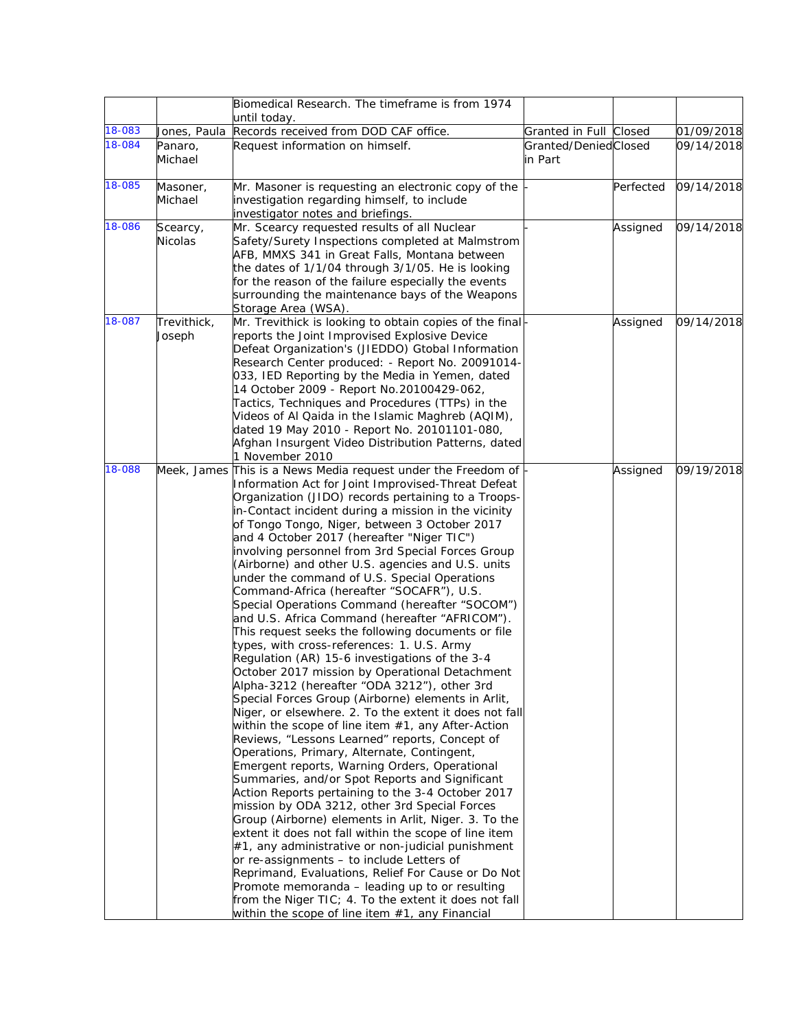|        |                            | Biomedical Research. The timeframe is from 1974                                                                                                                                                                                                                                                                                                                                                                                                                                                                                                                                                                                                                                                                                                                                                                                                                                                                                                                                                                                                                                                                                                                                                                                                                                                                                                                                                                                                                                                                                                                                                                                                                                                                                                                                                                                   |                                 |           |            |
|--------|----------------------------|-----------------------------------------------------------------------------------------------------------------------------------------------------------------------------------------------------------------------------------------------------------------------------------------------------------------------------------------------------------------------------------------------------------------------------------------------------------------------------------------------------------------------------------------------------------------------------------------------------------------------------------------------------------------------------------------------------------------------------------------------------------------------------------------------------------------------------------------------------------------------------------------------------------------------------------------------------------------------------------------------------------------------------------------------------------------------------------------------------------------------------------------------------------------------------------------------------------------------------------------------------------------------------------------------------------------------------------------------------------------------------------------------------------------------------------------------------------------------------------------------------------------------------------------------------------------------------------------------------------------------------------------------------------------------------------------------------------------------------------------------------------------------------------------------------------------------------------|---------------------------------|-----------|------------|
| 18-083 | Jones, Paula               | until today.<br>Records received from DOD CAF office.                                                                                                                                                                                                                                                                                                                                                                                                                                                                                                                                                                                                                                                                                                                                                                                                                                                                                                                                                                                                                                                                                                                                                                                                                                                                                                                                                                                                                                                                                                                                                                                                                                                                                                                                                                             | Granted in Full Closed          |           | 01/09/2018 |
| 18-084 | Panaro,<br>Michael         | Request information on himself.                                                                                                                                                                                                                                                                                                                                                                                                                                                                                                                                                                                                                                                                                                                                                                                                                                                                                                                                                                                                                                                                                                                                                                                                                                                                                                                                                                                                                                                                                                                                                                                                                                                                                                                                                                                                   | Granted/DeniedClosed<br>in Part |           | 09/14/2018 |
| 18-085 | Masoner,<br>Michael        | Mr. Masoner is requesting an electronic copy of the<br>investigation regarding himself, to include<br>investigator notes and briefings.                                                                                                                                                                                                                                                                                                                                                                                                                                                                                                                                                                                                                                                                                                                                                                                                                                                                                                                                                                                                                                                                                                                                                                                                                                                                                                                                                                                                                                                                                                                                                                                                                                                                                           |                                 | Perfected | 09/14/2018 |
| 18-086 | Scearcy,<br><b>Nicolas</b> | Mr. Scearcy requested results of all Nuclear<br>Safety/Surety Inspections completed at Malmstrom<br>AFB, MMXS 341 in Great Falls, Montana between<br>the dates of 1/1/04 through 3/1/05. He is looking<br>for the reason of the failure especially the events<br>surrounding the maintenance bays of the Weapons<br>Storage Area (WSA).                                                                                                                                                                                                                                                                                                                                                                                                                                                                                                                                                                                                                                                                                                                                                                                                                                                                                                                                                                                                                                                                                                                                                                                                                                                                                                                                                                                                                                                                                           |                                 | Assigned  | 09/14/2018 |
| 18-087 | Trevithick,<br>Joseph      | Mr. Trevithick is looking to obtain copies of the final-<br>reports the Joint Improvised Explosive Device<br>Defeat Organization's (JIEDDO) Gtobal Information<br>Research Center produced: - Report No. 20091014-<br>033, IED Reporting by the Media in Yemen, dated<br>14 October 2009 - Report No. 20100429-062,<br>Tactics, Techniques and Procedures (TTPs) in the<br>Videos of Al Qaida in the Islamic Maghreb (AQIM),<br>dated 19 May 2010 - Report No. 20101101-080,<br>Afghan Insurgent Video Distribution Patterns, dated<br>1 November 2010                                                                                                                                                                                                                                                                                                                                                                                                                                                                                                                                                                                                                                                                                                                                                                                                                                                                                                                                                                                                                                                                                                                                                                                                                                                                            |                                 | Assigned  | 09/14/2018 |
| 18-088 |                            | Meek, James This is a News Media request under the Freedom of<br>Information Act for Joint Improvised-Threat Defeat<br>Organization (JIDO) records pertaining to a Troops-<br>in-Contact incident during a mission in the vicinity<br>of Tongo Tongo, Niger, between 3 October 2017<br>and 4 October 2017 (hereafter "Niger TIC")<br>involving personnel from 3rd Special Forces Group<br>(Airborne) and other U.S. agencies and U.S. units<br>under the command of U.S. Special Operations<br>Command-Africa (hereafter "SOCAFR"), U.S.<br>Special Operations Command (hereafter "SOCOM")<br>and U.S. Africa Command (hereafter "AFRICOM").<br>This request seeks the following documents or file<br>types, with cross-references: 1. U.S. Army<br>Regulation (AR) 15-6 investigations of the 3-4<br>October 2017 mission by Operational Detachment<br>Alpha-3212 (hereafter "ODA 3212"), other 3rd<br>Special Forces Group (Airborne) elements in Arlit,<br>Niger, or elsewhere. 2. To the extent it does not fall<br>within the scope of line item $#1$ , any After-Action<br>Reviews, "Lessons Learned" reports, Concept of<br>Operations, Primary, Alternate, Contingent,<br>Emergent reports, Warning Orders, Operational<br>Summaries, and/or Spot Reports and Significant<br>Action Reports pertaining to the 3-4 October 2017<br>mission by ODA 3212, other 3rd Special Forces<br>Group (Airborne) elements in Arlit, Niger. 3. To the<br>extent it does not fall within the scope of line item<br>$#1$ , any administrative or non-judicial punishment<br>or re-assignments - to include Letters of<br>Reprimand, Evaluations, Relief For Cause or Do Not<br>Promote memoranda - leading up to or resulting<br>from the Niger TIC; 4. To the extent it does not fall<br>within the scope of line item #1, any Financial |                                 | Assigned  | 09/19/2018 |